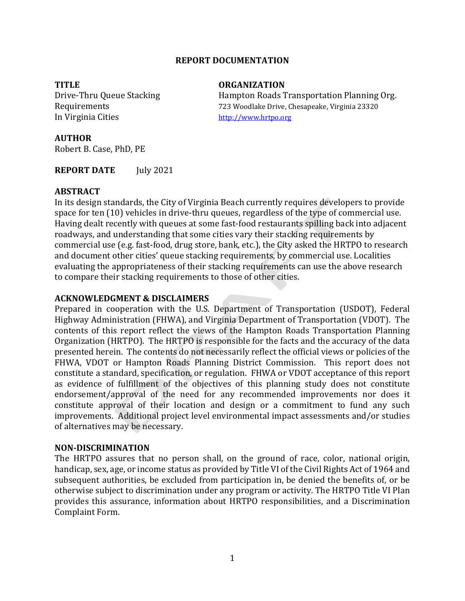# **REPORT DOCUMENTATION**

**TITLE ORGANIZATION** In Virginia Cities http://www.hrtpo.org

Drive-Thru Queue Stacking Hampton Roads Transportation Planning Org. Requirements 723 Woodlake Drive, Chesapeake, Virginia 23320

#### **AUTHOR**

Robert B. Case, PhD, PE

**REPORT DATE** July 2021

#### **ABSTRACT**

In its design standards, the City of Virginia Beach currently requires developers to provide space for ten (10) vehicles in drive-thru queues, regardless of the type of commercial use. Having dealt recently with queues at some fast-food restaurants spilling back into adjacent roadways, and understanding that some cities vary their stacking requirements by commercial use (e.g. fast-food, drug store, bank, etc.), the City asked the HRTPO to research and document other cities' queue stacking requirements, by commercial use. Localities evaluating the appropriateness of their stacking requirements can use the above research to compare their stacking requirements to those of other cities.

# **ACKNOWLEDGMENT & DISCLAIMERS**

Prepared in cooperation with the U.S. Department of Transportation (USDOT), Federal Highway Administration (FHWA), and Virginia Department of Transportation (VDOT). The contents of this report reflect the views of the Hampton Roads Transportation Planning Organization (HRTPO). The HRTPO is responsible for the facts and the accuracy of the data presented herein. The contents do not necessarily reflect the official views or policies of the FHWA, VDOT or Hampton Roads Planning District Commission. This report does not constitute a standard, specification, or regulation. FHWA or VDOT acceptance of this report as evidence of fulfillment of the objectives of this planning study does not constitute endorsement/approval of the need for any recommended improvements nor does it constitute approval of their location and design or a commitment to fund any such improvements. Additional project level environmental impact assessments and/or studies of alternatives may be necessary.

#### **NON‐DISCRIMINATION**

The HRTPO assures that no person shall, on the ground of race, color, national origin, handicap, sex, age, or income status as provided by Title VI of the Civil Rights Act of 1964 and subsequent authorities, be excluded from participation in, be denied the benefits of, or be otherwise subject to discrimination under any program or activity. The HRTPO Title VI Plan provides this assurance, information about HRTPO responsibilities, and a Discrimination Complaint Form.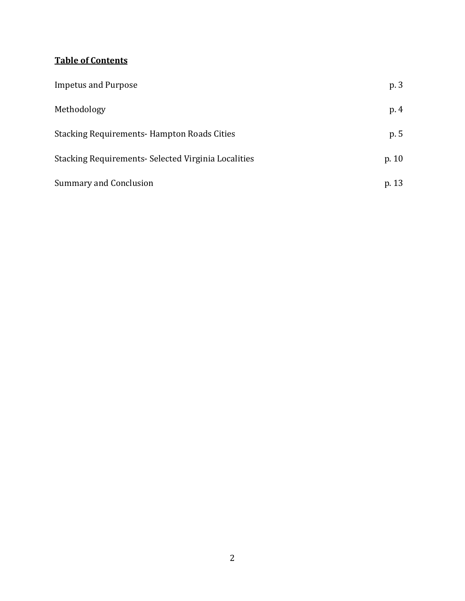# **Table of Contents**

| <b>Impetus and Purpose</b>                           | p. 3    |
|------------------------------------------------------|---------|
| Methodology                                          | p. 4    |
| <b>Stacking Requirements-Hampton Roads Cities</b>    | p. 5    |
| Stacking Requirements - Selected Virginia Localities | p. $10$ |
| <b>Summary and Conclusion</b>                        | p. 13   |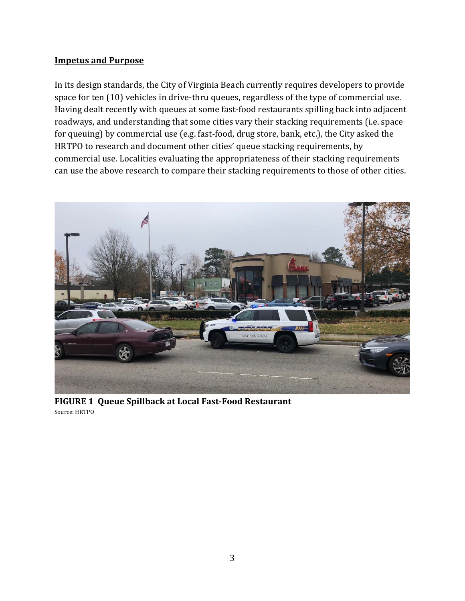# **Impetus and Purpose**

In its design standards, the City of Virginia Beach currently requires developers to provide space for ten (10) vehicles in drive-thru queues, regardless of the type of commercial use. Having dealt recently with queues at some fast-food restaurants spilling back into adjacent roadways, and understanding that some cities vary their stacking requirements (i.e. space for queuing) by commercial use (e.g. fast-food, drug store, bank, etc.), the City asked the HRTPO to research and document other cities' queue stacking requirements, by commercial use. Localities evaluating the appropriateness of their stacking requirements can use the above research to compare their stacking requirements to those of other cities.



**FIGURE 1 Queue Spillback at Local Fast‐Food Restaurant** Source: HRTPO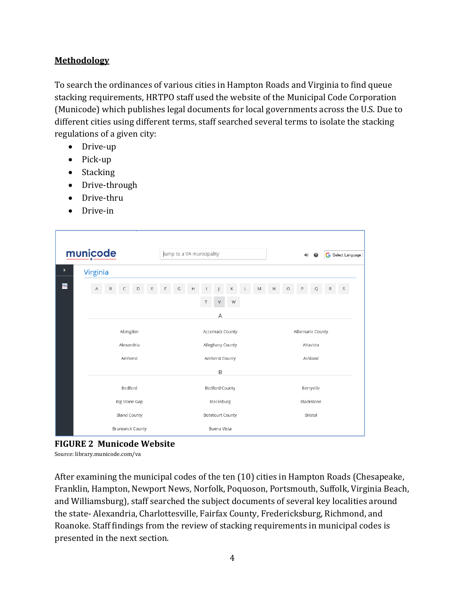# **Methodology**

To search the ordinances of various cities in Hampton Roads and Virginia to find queue stacking requirements, HRTPO staff used the website of the Municipal Code Corporation (Municode) which publishes legal documents for local governments across the U.S. Due to different cities using different terms, staff searched several terms to isolate the stacking regulations of a given city:

- Drive-up
- $\bullet$  Pick-up
- Stacking
- Drive-through
- Drive-thru
- Drive-in

| municode |  |                                                                                                                        |        | Jump to a VA municipality |   |   |                       |                |               |    |                         | $\bigoplus$      | $\mathbf{a}$ |             | G Select Language |         |   |   |   |   |  |
|----------|--|------------------------------------------------------------------------------------------------------------------------|--------|---------------------------|---|---|-----------------------|----------------|---------------|----|-------------------------|------------------|--------------|-------------|-------------------|---------|---|---|---|---|--|
| ×        |  | Virginia                                                                                                               |        |                           |   |   |                       |                |               |    |                         |                  |              |             |                   |         |   |   |   |   |  |
| mc       |  | A                                                                                                                      | $\,$ B | $\subset$                 | D | Ε | F                     | G              | $\mathsf{H}%$ |    | J                       | К                | L            | $\mathbb M$ | $\mathsf{N}$      | $\circ$ | P | Q | R | S |  |
|          |  |                                                                                                                        |        |                           |   |   |                       |                |               | T. | V                       | W                |              |             |                   |         |   |   |   |   |  |
|          |  |                                                                                                                        |        |                           |   |   |                       | $\overline{A}$ |               |    |                         |                  |              |             |                   |         |   |   |   |   |  |
|          |  | Abingdon<br>Alexandria<br>Amherst<br>Bedford<br><b>Big Stone Gap</b><br><b>Bland County</b><br><b>Brunswick County</b> |        |                           |   |   | Accomack County       |                |               |    |                         | Albemarle County |              |             |                   |         |   |   |   |   |  |
|          |  |                                                                                                                        |        |                           |   |   | Alleghany County      |                |               |    |                         | Altavista        |              |             |                   |         |   |   |   |   |  |
|          |  |                                                                                                                        |        |                           |   |   | Amherst County        |                |               |    |                         | Ashland          |              |             |                   |         |   |   |   |   |  |
|          |  |                                                                                                                        |        |                           |   |   |                       | B              |               |    |                         |                  |              |             |                   |         |   |   |   |   |  |
|          |  |                                                                                                                        |        |                           |   |   | <b>Bedford County</b> |                |               |    | Berryville              |                  |              |             |                   |         |   |   |   |   |  |
|          |  |                                                                                                                        |        |                           |   |   | Blacksburg            |                |               |    |                         | Blackstone       |              |             |                   |         |   |   |   |   |  |
|          |  |                                                                                                                        |        |                           |   |   |                       |                |               |    | <b>Botetourt County</b> |                  |              |             | Bristol           |         |   |   |   |   |  |
|          |  |                                                                                                                        |        |                           |   |   | Buena Vista           |                |               |    |                         |                  |              |             |                   |         |   |   |   |   |  |

**FIGURE 2 Municode Website**

Source: library.municode.com/va

After examining the municipal codes of the ten (10) cities in Hampton Roads (Chesapeake, Franklin, Hampton, Newport News, Norfolk, Poquoson, Portsmouth, Suffolk, Virginia Beach, and Williamsburg), staff searched the subject documents of several key localities around the state- Alexandria, Charlottesville, Fairfax County, Fredericksburg, Richmond, and Roanoke. Staff findings from the review of stacking requirements in municipal codes is presented in the next section.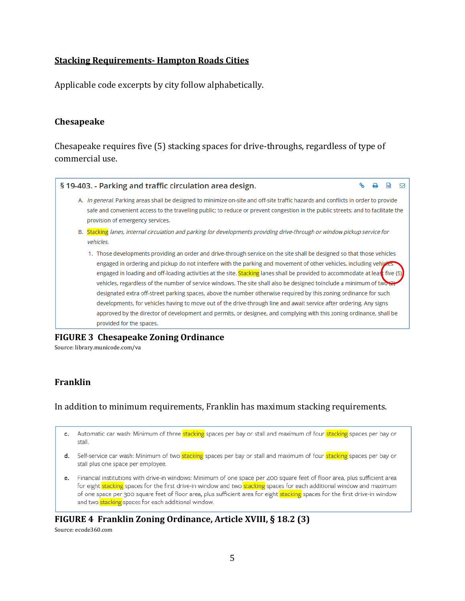# **Stacking Requirements‐ Hampton Roads Cities**

Applicable code excerpts by city follow alphabetically.

# **Chesapeake**

Chesapeake requires five (5) stacking spaces for drive-throughs, regardless of type of commercial use.

| § 19-403. - Parking and traffic circulation area design.                                                                                                                                                                                                                                                                                                                                                                                                                                                                                                                                                                                                                                                                                                                                                                                                                                            |  |  |
|-----------------------------------------------------------------------------------------------------------------------------------------------------------------------------------------------------------------------------------------------------------------------------------------------------------------------------------------------------------------------------------------------------------------------------------------------------------------------------------------------------------------------------------------------------------------------------------------------------------------------------------------------------------------------------------------------------------------------------------------------------------------------------------------------------------------------------------------------------------------------------------------------------|--|--|
| A. In general. Parking areas shall be designed to minimize on-site and off-site traffic hazards and conflicts in order to provide<br>safe and convenient access to the travelling public; to reduce or prevent congestion in the public streets; and to facilitate the<br>provision of emergency services.                                                                                                                                                                                                                                                                                                                                                                                                                                                                                                                                                                                          |  |  |
| B. <b>Stacking</b> lanes, internal circulation and parking for developments providing drive-through or window pickup service for<br>vehicles.                                                                                                                                                                                                                                                                                                                                                                                                                                                                                                                                                                                                                                                                                                                                                       |  |  |
| 1. Those developments providing an order and drive-through service on the site shall be designed so that those vehicles<br>engaged in ordering and pickup do not interfere with the parking and movement of other vehicles, including vehicles<br>engaged in loading and off-loading activities at the site. Stacking lanes shall be provided to accommodate at least five (5)<br>vehicles, regardless of the number of service windows. The site shall also be designed toinclude a minimum of two<br>designated extra off-street parking spaces, above the number otherwise required by this zoning ordinance for such<br>developments, for vehicles having to move out of the drive-through line and await service after ordering. Any signs<br>approved by the director of development and permits, or designee, and complying with this zoning ordinance, shall be<br>provided for the spaces. |  |  |

# **FIGURE 3 Chesapeake Zoning Ordinance**

Source: library.municode.com/va

# **Franklin**

# In addition to minimum requirements, Franklin has maximum stacking requirements.

- c. Automatic car wash: Minimum of three stacking spaces per bay or stall and maximum of four stacking spaces per bay or stall.
- d. Self-service car wash: Minimum of two stacking spaces per bay or stall and maximum of four stacking spaces per bay or stall plus one space per employee.
- e. Financial institutions with drive-in windows: Minimum of one space per 400 square feet of floor area, plus sufficient area for eight stacking spaces for the first drive-in window and two stacking spaces for each additional window and maximum of one space per 300 square feet of floor area, plus sufficient area for eight stacking spaces for the first drive-in window and two stacking spaces for each additional window.

#### **FIGURE 4 Franklin Zoning Ordinance, Article XVIII, § 18.2 (3)** Source: ecode360.com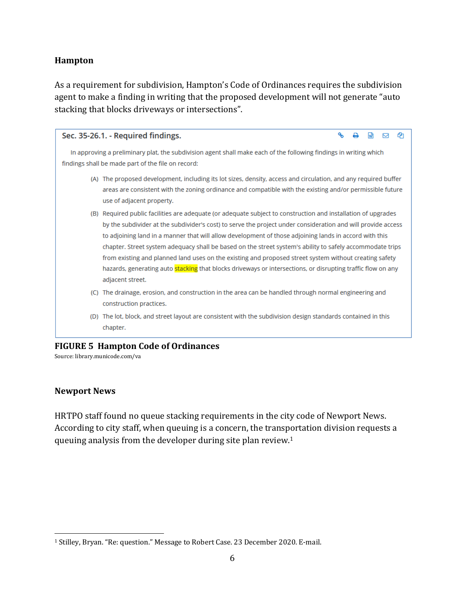# **Hampton**

As a requirement for subdivision, Hampton's Code of Ordinances requires the subdivision agent to make a finding in writing that the proposed development will not generate "auto stacking that blocks driveways or intersections".

| Sec. 35-26.1. - Required findings.                                                                                                                                                                                                                                                                                                                                                                                                                                                                                                                                                                                                                                                                | ዔ                                                                                                                                                                                                                            |  |  |  |  |  |  |  |  |  |  |
|---------------------------------------------------------------------------------------------------------------------------------------------------------------------------------------------------------------------------------------------------------------------------------------------------------------------------------------------------------------------------------------------------------------------------------------------------------------------------------------------------------------------------------------------------------------------------------------------------------------------------------------------------------------------------------------------------|------------------------------------------------------------------------------------------------------------------------------------------------------------------------------------------------------------------------------|--|--|--|--|--|--|--|--|--|--|
| In approving a preliminary plat, the subdivision agent shall make each of the following findings in writing which<br>findings shall be made part of the file on record:                                                                                                                                                                                                                                                                                                                                                                                                                                                                                                                           |                                                                                                                                                                                                                              |  |  |  |  |  |  |  |  |  |  |
| use of adjacent property.                                                                                                                                                                                                                                                                                                                                                                                                                                                                                                                                                                                                                                                                         | (A) The proposed development, including its lot sizes, density, access and circulation, and any required buffer<br>areas are consistent with the zoning ordinance and compatible with the existing and/or permissible future |  |  |  |  |  |  |  |  |  |  |
| (B) Required public facilities are adequate (or adequate subject to construction and installation of upgrades<br>by the subdivider at the subdivider's cost) to serve the project under consideration and will provide access<br>to adjoining land in a manner that will allow development of those adjoining lands in accord with this<br>chapter. Street system adequacy shall be based on the street system's ability to safely accommodate trips<br>from existing and planned land uses on the existing and proposed street system without creating safety<br>hazards, generating auto stacking that blocks driveways or intersections, or disrupting traffic flow on any<br>adjacent street. |                                                                                                                                                                                                                              |  |  |  |  |  |  |  |  |  |  |
| The drainage, erosion, and construction in the area can be handled through normal engineering and<br>(C)<br>construction practices.                                                                                                                                                                                                                                                                                                                                                                                                                                                                                                                                                               |                                                                                                                                                                                                                              |  |  |  |  |  |  |  |  |  |  |
| (D) The lot, block, and street layout are consistent with the subdivision design standards contained in this<br>chapter.                                                                                                                                                                                                                                                                                                                                                                                                                                                                                                                                                                          |                                                                                                                                                                                                                              |  |  |  |  |  |  |  |  |  |  |

#### **FIGURE 5 Hampton Code of Ordinances**

Source: library.municode.com/va

# **Newport News**

 $\overline{\phantom{a}}$ 

HRTPO staff found no queue stacking requirements in the city code of Newport News. According to city staff, when queuing is a concern, the transportation division requests a queuing analysis from the developer during site plan review.1

<sup>1</sup> Stilley, Bryan. "Re: question." Message to Robert Case. 23 December 2020. E-mail.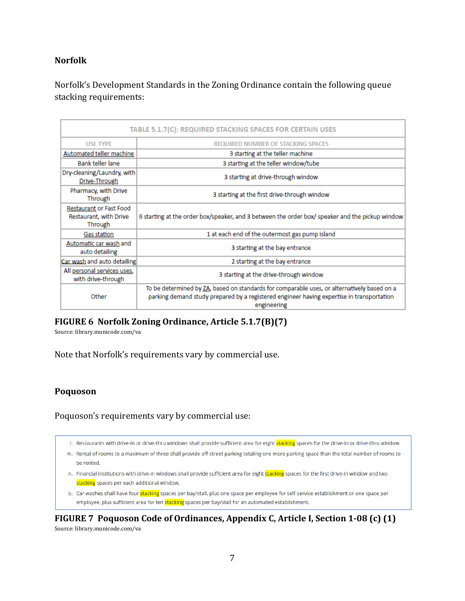# **Norfolk**

Norfolk's Development Standards in the Zoning Ordinance contain the following queue stacking requirements:

| <b>TABLE 5.1.7(C): REQUIRED STACKING SPACES FOR CERTAIN USES</b>    |                                                                                                                                                                                                         |  |  |  |  |  |  |  |
|---------------------------------------------------------------------|---------------------------------------------------------------------------------------------------------------------------------------------------------------------------------------------------------|--|--|--|--|--|--|--|
| <b>USE TYPE</b>                                                     | <b>REQUIRED NUMBER OF STACKING SPACES</b>                                                                                                                                                               |  |  |  |  |  |  |  |
| Automated teller machine                                            | 3 starting at the teller machine                                                                                                                                                                        |  |  |  |  |  |  |  |
| Bank teller lane                                                    | 3 starting at the teller window/tube                                                                                                                                                                    |  |  |  |  |  |  |  |
| Dry-cleaning/Laundry, with<br>Drive-Through                         | 3 starting at drive-through window                                                                                                                                                                      |  |  |  |  |  |  |  |
| Pharmacy, with Drive<br>Through                                     | 3 starting at the first drive-through window                                                                                                                                                            |  |  |  |  |  |  |  |
| <b>Restaurant or Fast Food</b><br>Restaurant, with Drive<br>Through | 6 starting at the order box/speaker, and 3 between the order box/speaker and the pickup window                                                                                                          |  |  |  |  |  |  |  |
| Gas station                                                         | 1 at each end of the outermost gas pump island                                                                                                                                                          |  |  |  |  |  |  |  |
| Automatic car wash and<br>auto detailing                            | 3 starting at the bay entrance                                                                                                                                                                          |  |  |  |  |  |  |  |
| Car wash and auto detailing                                         | 2 starting at the bay entrance                                                                                                                                                                          |  |  |  |  |  |  |  |
| All personal services uses,<br>with drive-through                   | 3 starting at the drive-through window                                                                                                                                                                  |  |  |  |  |  |  |  |
| Other                                                               | To be determined by ZA, based on standards for comparable uses, or alternatively based on a<br>parking demand study prepared by a registered engineer having expertise in transportation<br>engineering |  |  |  |  |  |  |  |

# **FIGURE 6 Norfolk Zoning Ordinance, Article 5.1.7(B)(7)**

Source: library.municode.com/va

Note that Norfolk's requirements vary by commercial use.

#### **Poquoson**

Poquoson's requirements vary by commercial use:

I. Restaurants with drive-in or drive-thru windows shall provide sufficient area for eight stacking spaces for the drive-in or drive-thru window.

- m. Rental of rooms to a maximum of three shall provide off-street parking totaling one more parking space than the total number of rooms to be rented.
- n. Financial institutions with drive-in windows shall provide sufficient area for eight stacking spaces for the first drive-in window and two stacking spaces per each additional window.
- o. Car washes shall have four stacking spaces per bay/stall, plus one space per employee for self-service establishment or one space per employee, plus sufficient area for ten stacking spaces per bay/stall for an automated establishment.

**FIGURE 7 Poquoson Code of Ordinances, Appendix C, Article I, Section 1‐08 (c) (1)** Source: library.municode.com/va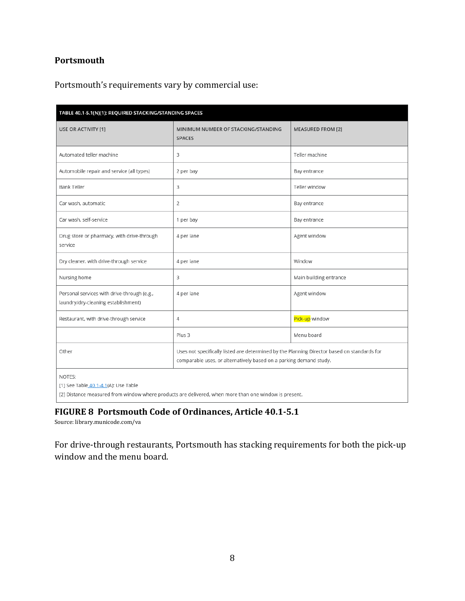# **Portsmouth**

Portsmouth's requirements vary by commercial use:

| TABLE 40.1-5.1(N)(1): REQUIRED STACKING/STANDING SPACES                            |                                                                                                                                                                   |                          |  |  |  |  |  |  |  |
|------------------------------------------------------------------------------------|-------------------------------------------------------------------------------------------------------------------------------------------------------------------|--------------------------|--|--|--|--|--|--|--|
| USE OR ACTIVITY [1]                                                                | MINIMUM NUMBER OF STACKING/STANDING<br><b>SPACES</b>                                                                                                              | <b>MEASURED FROM [2]</b> |  |  |  |  |  |  |  |
| Automated teller machine                                                           | 3                                                                                                                                                                 | Teller machine           |  |  |  |  |  |  |  |
| Automobile repair and service (all types)                                          | 2 per bay                                                                                                                                                         | Bay entrance             |  |  |  |  |  |  |  |
| <b>Bank Teller</b>                                                                 | 3                                                                                                                                                                 | Teller window            |  |  |  |  |  |  |  |
| Car wash, automatic                                                                | 2                                                                                                                                                                 | Bay entrance             |  |  |  |  |  |  |  |
| Car wash, self-service                                                             | 1 per bay                                                                                                                                                         | Bay entrance             |  |  |  |  |  |  |  |
| Drug store or pharmacy, with drive-through<br>service                              | 4 per lane                                                                                                                                                        | Agent window             |  |  |  |  |  |  |  |
| Dry cleaner, with drive-through service                                            | 4 per lane                                                                                                                                                        | Window                   |  |  |  |  |  |  |  |
| Nursing home                                                                       | 3                                                                                                                                                                 | Main building entrance   |  |  |  |  |  |  |  |
| Personal services with drive-through (e.g.,<br>laundry/dry-cleaning establishment) | 4 per lane                                                                                                                                                        | Agent window             |  |  |  |  |  |  |  |
| Restaurant, with drive-through service                                             | 4                                                                                                                                                                 | Pick-up window           |  |  |  |  |  |  |  |
|                                                                                    | Plus 3                                                                                                                                                            | Menu board               |  |  |  |  |  |  |  |
| Other                                                                              | Uses not specifically listed are determined by the Planning Director based on standards for<br>comparable uses, or alternatively based on a parking demand study. |                          |  |  |  |  |  |  |  |
| NOTES:<br>[1] See Table 40.1-4.1(A): Use Table                                     | [2] Distance measured from window where products are delivered, when more than one window is present.                                                             |                          |  |  |  |  |  |  |  |

# **FIGURE 8 Portsmouth Code of Ordinances, Article 40.1‐5.1**

Source: library.municode.com/va

For drive-through restaurants, Portsmouth has stacking requirements for both the pick-up window and the menu board.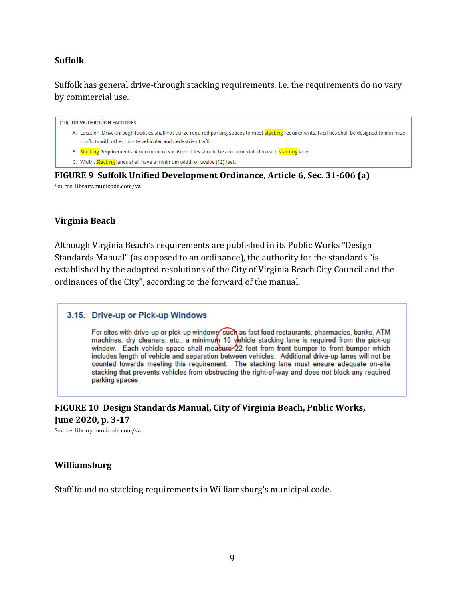# **Suffolk**

Suffolk has general drive-through stacking requirements, i.e. the requirements do no vary by commercial use.

(10) DRIVE-THROUGH FACILITIES.

- A. Location. Drive-through facilities shall not utilize required parking spaces to meet **stacking** requirements. Facilities shall be designed to minimize conflicts with other on-site vehicular and pedestrian traffic.
- B. Stacking Requirements. A minimum of six (6) vehicles should be accommodated in each stacking lane.

C. Width. Stacking lanes shall have a minimum width of twelve (12) feet.

**FIGURE 9 Suffolk Unified Development Ordinance, Article 6, Sec. 31‐606 (a)** Source: library.municode.com/va

# **Virginia Beach**

Although Virginia Beach's requirements are published in its Public Works "Design Standards Manual" (as opposed to an ordinance), the authority for the standards "is established by the adopted resolutions of the City of Virginia Beach City Council and the ordinances of the City", according to the forward of the manual.

#### 3.15. Drive-up or Pick-up Windows

For sites with drive-up or pick-up windows, such as fast food restaurants, pharmacies, banks, ATM machines, dry cleaners, etc., a minimum 10 yehicle stacking lane is required from the pick-up window. Each vehicle space shall measure 22 feet from front bumper to front bumper which includes length of vehicle and separation between vehicles. Additional drive-up lanes will not be counted towards meeting this requirement. The stacking lane must ensure adequate on-site stacking that prevents vehicles from obstructing the right-of-way and does not block any required parking spaces.

**FIGURE 10 Design Standards Manual, City of Virginia Beach, Public Works, June 2020, p. 3‐17**

Source: library.municode.com/va

#### **Williamsburg**

Staff found no stacking requirements in Williamsburg's municipal code.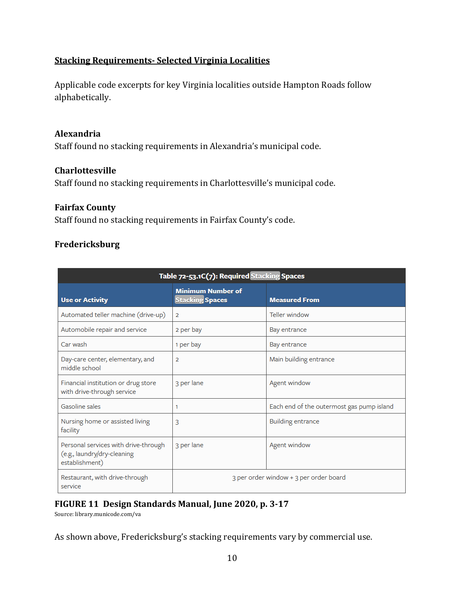# **Stacking Requirements‐ Selected Virginia Localities**

Applicable code excerpts for key Virginia localities outside Hampton Roads follow alphabetically.

# **Alexandria**

Staff found no stacking requirements in Alexandria's municipal code.

# **Charlottesville**

Staff found no stacking requirements in Charlottesville's municipal code.

# **Fairfax County**

Staff found no stacking requirements in Fairfax County's code.

# **Fredericksburg**

| Table 72-53.1C(7): Required Stacking Spaces                                           |                                                    |                                           |  |  |  |  |  |  |  |
|---------------------------------------------------------------------------------------|----------------------------------------------------|-------------------------------------------|--|--|--|--|--|--|--|
| <b>Use or Activity</b>                                                                | <b>Minimum Number of</b><br><b>Stacking Spaces</b> | <b>Measured From</b>                      |  |  |  |  |  |  |  |
| Automated teller machine (drive-up)                                                   | $\overline{2}$                                     | Teller window                             |  |  |  |  |  |  |  |
| Automobile repair and service                                                         | 2 per bay                                          | Bay entrance                              |  |  |  |  |  |  |  |
| Car wash                                                                              | 1 per bay                                          | Bay entrance                              |  |  |  |  |  |  |  |
| Day-care center, elementary, and<br>middle school                                     | $\overline{2}$                                     | Main building entrance                    |  |  |  |  |  |  |  |
| Financial institution or drug store<br>with drive-through service                     | 3 per lane                                         | Agent window                              |  |  |  |  |  |  |  |
| Gasoline sales                                                                        | 1                                                  | Each end of the outermost gas pump island |  |  |  |  |  |  |  |
| Nursing home or assisted living<br>facility                                           | 3                                                  | <b>Building entrance</b>                  |  |  |  |  |  |  |  |
| Personal services with drive-through<br>(e.g., laundry/dry-cleaning<br>establishment) | 3 per lane                                         | Agent window                              |  |  |  |  |  |  |  |
| Restaurant, with drive-through<br>service                                             |                                                    | 3 per order window + 3 per order board    |  |  |  |  |  |  |  |

# **FIGURE 11 Design Standards Manual, June 2020, p. 3‐17**

Source: library.municode.com/va

As shown above, Fredericksburg's stacking requirements vary by commercial use.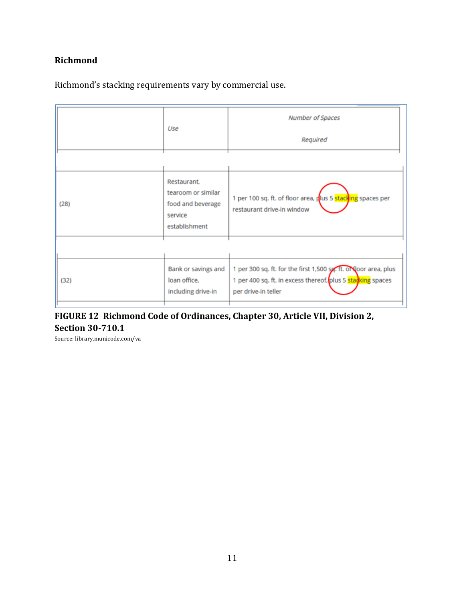# **Richmond**

|  | Richmond's stacking requirements vary by commercial use. |
|--|----------------------------------------------------------|
|  |                                                          |

|      | Use                                                               | Number of Spaces<br>Required                                                              |
|------|-------------------------------------------------------------------|-------------------------------------------------------------------------------------------|
| (28) | Restaurant,<br>tearoom or similar<br>food and beverage<br>service | 1 per 100 sq. ft. of floor area, plus 5 stacking spaces per<br>restaurant drive-in window |
|      | establishment<br>Bank or savings and                              | 1 per 300 sq. ft. for the first 1,500 sq. ft. or loor area, plus                          |
| (32) | loan office.<br>including drive-in                                | 1 per 400 sq. ft. in excess thereof, plus 5 stacking spaces<br>per drive-in teller        |

# **FIGURE 12 Richmond Code of Ordinances, Chapter 30, Article VII, Division 2, Section 30‐710.1**

Source: library.municode.com/va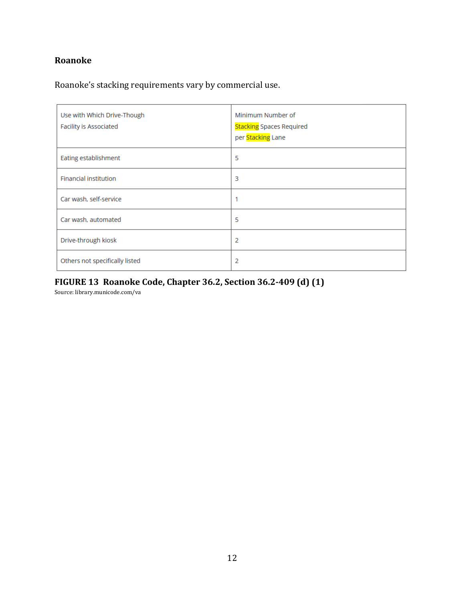# **Roanoke**

Roanoke's stacking requirements vary by commercial use.

| Use with Which Drive-Though<br><b>Facility is Associated</b> | Minimum Number of<br><b>Stacking Spaces Required</b><br>per Stacking Lane |
|--------------------------------------------------------------|---------------------------------------------------------------------------|
| Eating establishment                                         | 5                                                                         |
| <b>Financial institution</b>                                 | 3                                                                         |
| Car wash, self-service                                       |                                                                           |
| Car wash, automated                                          | 5                                                                         |
| Drive-through kiosk                                          | 2                                                                         |
| Others not specifically listed                               | 2                                                                         |

# **FIGURE 13 Roanoke Code, Chapter 36.2, Section 36.2‐409 (d) (1)**

Source: library.municode.com/va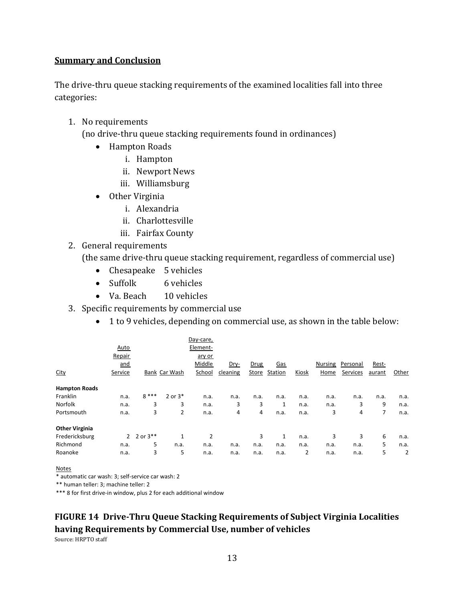#### **Summary and Conclusion**

The drive-thru queue stacking requirements of the examined localities fall into three categories:

1. No requirements

(no drive-thru queue stacking requirements found in ordinances)

- Hampton Roads
	- i. Hampton
	- ii. Newport News
	- iii. Williamsburg
- Other Virginia
	- i. Alexandria
	- ii. Charlottesville
	- iii. Fairfax County
- 2. General requirements

(the same drive-thru queue stacking requirement, regardless of commercial use)

- Chesapeake 5 vehicles
- Suffolk 6 vehicles
- Va. Beach 10 vehicles
- 3. Specific requirements by commercial use
	- 1 to 9 vehicles, depending on commercial use, as shown in the table below:

|                       |                |             |               | Day-care, |          |       |            |       |                |          |        |       |
|-----------------------|----------------|-------------|---------------|-----------|----------|-------|------------|-------|----------------|----------|--------|-------|
|                       | Auto           |             |               | Element-  |          |       |            |       |                |          |        |       |
|                       | Repair         |             |               | ary or    |          |       |            |       |                |          |        |       |
|                       | and            |             |               | Middle    | Dry-     | Drug  | <u>Gas</u> |       | <b>Nursing</b> | Personal | Rest-  |       |
| City                  | Service        |             | Bank Car Wash | School    | cleaning | Store | Station    | Kiosk | Home           | Services | aurant | Other |
| <b>Hampton Roads</b>  |                |             |               |           |          |       |            |       |                |          |        |       |
| Franklin              | n.a.           | $8***$      | $2$ or $3*$   | n.a.      | n.a.     | n.a.  | n.a.       | n.a.  | n.a.           | n.a.     | n.a.   | n.a.  |
| Norfolk               | n.a.           | 3           | 3             | n.a.      | 3        | 3     | 1          | n.a.  | n.a.           | 3        | 9      | n.a.  |
| Portsmouth            | n.a.           | 3           | 2             | n.a.      | 4        | 4     | n.a.       | n.a.  | 3              | 4        | 7      | n.a.  |
| <b>Other Virginia</b> |                |             |               |           |          |       |            |       |                |          |        |       |
| Fredericksburg        | $\overline{2}$ | 2 or $3***$ | 1             | 2         |          | 3     | 1          | n.a.  | 3              | 3        | 6      | n.a.  |
| Richmond              | n.a.           | 5           | n.a.          | n.a.      | n.a.     | n.a.  | n.a.       | n.a.  | n.a.           | n.a.     | 5      | n.a.  |
| Roanoke               | n.a.           | 3           | 5             | n.a.      | n.a.     | n.a.  | n.a.       | 2     | n.a.           | n.a.     | 5      | 2     |
|                       |                |             |               |           |          |       |            |       |                |          |        |       |

Notes

\* automatic car wash: 3; self‐service car wash: 2

\*\* human teller: 3; machine teller: 2

\*\*\* 8 for first drive‐in window, plus 2 for each additional window

# **FIGURE 14 Drive‐Thru Queue Stacking Requirements of Subject Virginia Localities having Requirements by Commercial Use, number of vehicles**

Source: HRPTO staff